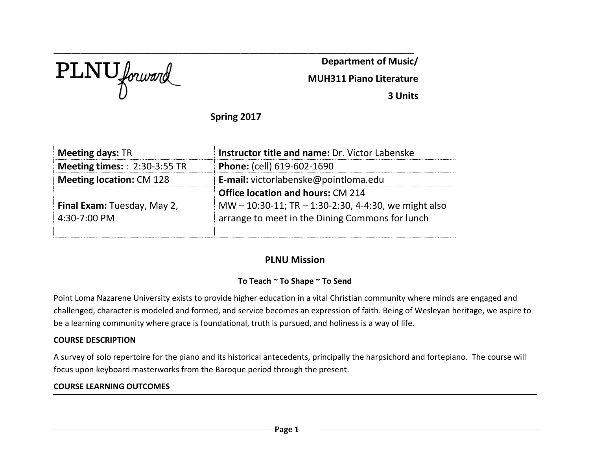PLNU forward

**Department of Music/**

**MUH311 Piano Literature**

**3 Units**

# **Spring 2017**

\_\_\_\_\_\_\_\_\_\_\_\_\_\_\_\_\_\_\_\_\_\_\_\_\_\_\_\_\_\_\_\_\_\_\_\_\_\_\_\_\_\_\_\_\_\_\_\_\_\_\_\_\_\_\_\_\_\_\_\_\_\_\_\_\_\_\_\_\_\_\_\_\_\_\_\_\_\_\_\_\_

| <b>Meeting days: TR</b>              | <b>Instructor title and name: Dr. Victor Labenske</b>    |  |  |
|--------------------------------------|----------------------------------------------------------|--|--|
| <b>Meeting times:</b> : 2:30-3:55 TR | Phone: (cell) 619-602-1690                               |  |  |
| <b>Meeting location: CM 128</b>      | E-mail: victorlabenske@pointloma.edu                     |  |  |
|                                      | <b>Office location and hours: CM 214</b>                 |  |  |
| Final Exam: Tuesday, May 2,          | MW $-$ 10:30-11; TR $-$ 1:30-2:30, 4-4:30, we might also |  |  |
| 4:30-7:00 PM                         | arrange to meet in the Dining Commons for lunch          |  |  |
|                                      |                                                          |  |  |

# **PLNU Mission**

## **To Teach ~ To Shape ~ To Send**

Point Loma Nazarene University exists to provide higher education in a vital Christian community where minds are engaged and challenged, character is modeled and formed, and service becomes an expression of faith. Being of Wesleyan heritage, we aspire to be a learning community where grace is foundational, truth is pursued, and holiness is a way of life.

### **COURSE DESCRIPTION**

A survey of solo repertoire for the piano and its historical antecedents, principally the harpsichord and fortepiano. The course will focus upon keyboard masterworks from the Baroque period through the present.

## **COURSE LEARNING OUTCOMES**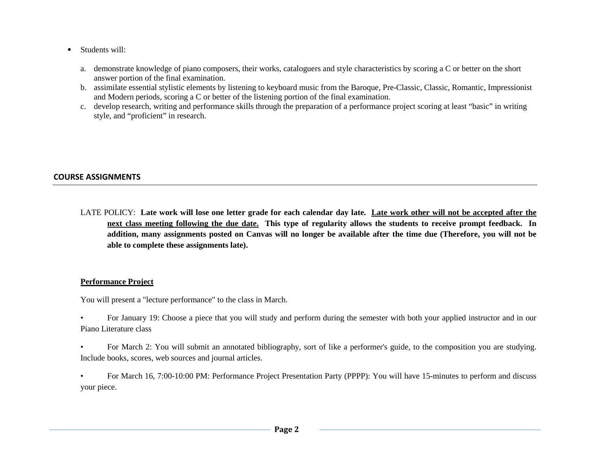- *•* Students will:
	- a. demonstrate knowledge of piano composers, their works, cataloguers and style characteristics by scoring a C or better on the short answer portion of the final examination.
	- b. assimilate essential stylistic elements by listening to keyboard music from the Baroque, Pre-Classic, Classic, Romantic, Impressionist and Modern periods, scoring a C or better of the listening portion of the final examination.
	- c. develop research, writing and performance skills through the preparation of a performance project scoring at least "basic" in writing style, and "proficient" in research.

### **COURSE ASSIGNMENTS**

LATE POLICY: **Late work will lose one letter grade for each calendar day late. Late work other will not be accepted after the next class meeting following the due date. This type of regularity allows the students to receive prompt feedback. In addition, many assignments posted on Canvas will no longer be available after the time due (Therefore, you will not be able to complete these assignments late).**

#### **Performance Project**

You will present a "lecture performance" to the class in March.

- For January 19: Choose a piece that you will study and perform during the semester with both your applied instructor and in our Piano Literature class
- For March 2: You will submit an annotated bibliography, sort of like a performer's guide, to the composition you are studying. Include books, scores, web sources and journal articles.
- For March 16, 7:00-10:00 PM: Performance Project Presentation Party (PPPP): You will have 15-minutes to perform and discuss your piece.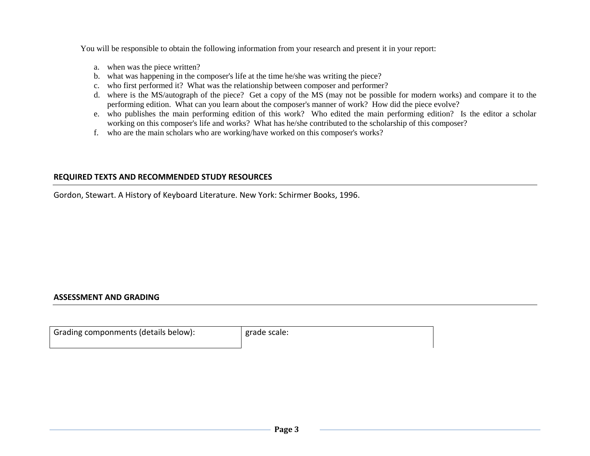You will be responsible to obtain the following information from your research and present it in your report:

- a. when was the piece written?
- b. what was happening in the composer's life at the time he/she was writing the piece?
- c. who first performed it? What was the relationship between composer and performer?
- d. where is the MS/autograph of the piece? Get a copy of the MS (may not be possible for modern works) and compare it to the performing edition. What can you learn about the composer's manner of work? How did the piece evolve?
- e. who publishes the main performing edition of this work? Who edited the main performing edition? Is the editor a scholar working on this composer's life and works? What has he/she contributed to the scholarship of this composer?
- f. who are the main scholars who are working/have worked on this composer's works?

#### **REQUIRED TEXTS AND RECOMMENDED STUDY RESOURCES**

Gordon, Stewart. A History of Keyboard Literature. New York: Schirmer Books, 1996.

## **ASSESSMENT AND GRADING**

| Grading componments (details below): | grade scale: |
|--------------------------------------|--------------|
|                                      |              |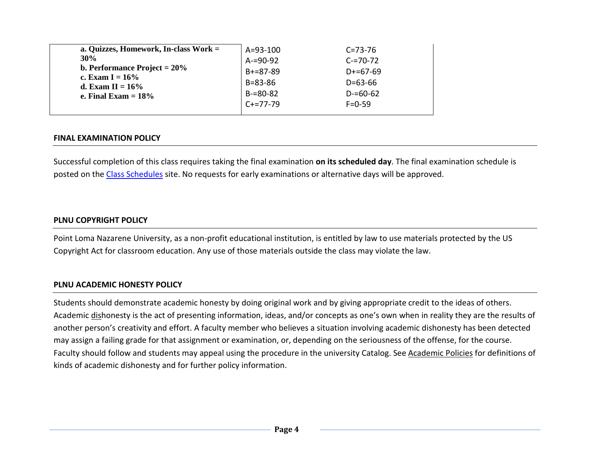| a. Quizzes, Homework, In-class Work =         | $A = 93 - 100$  | $C = 73 - 76$ |
|-----------------------------------------------|-----------------|---------------|
| 30%                                           | $A = 90 - 92$   | $C = 70 - 72$ |
| <b>b. Performance Project = 20%</b>           | $B + = 87 - 89$ | $D+ = 67-69$  |
| c. Exam $I = 16\%$                            | $B = 83 - 86$   | $D = 63 - 66$ |
| d. Exam II = $16\%$<br>e. Final Exam $= 18\%$ | $B = 80 - 82$   | $D = 60 - 62$ |
|                                               | $C + = 77 - 79$ | $F = 0 - 59$  |
|                                               |                 |               |

### **FINAL EXAMINATION POLICY**

Successful completion of this class requires taking the final examination **on its scheduled day**. The final examination schedule is posted on th[e Class Schedules](http://www.pointloma.edu/experience/academics/class-schedules) site. No requests for early examinations or alternative days will be approved.

### **PLNU COPYRIGHT POLICY**

Point Loma Nazarene University, as a non-profit educational institution, is entitled by law to use materials protected by the US Copyright Act for classroom education. Any use of those materials outside the class may violate the law.

### **PLNU ACADEMIC HONESTY POLICY**

Students should demonstrate academic honesty by doing original work and by giving appropriate credit to the ideas of others. Academic dishonesty is the act of presenting information, ideas, and/or concepts as one's own when in reality they are the results of another person's creativity and effort. A faculty member who believes a situation involving academic dishonesty has been detected may assign a failing grade for that assignment or examination, or, depending on the seriousness of the offense, for the course. Faculty should follow and students may appeal using the procedure in the university Catalog. See [Academic Policies](http://catalog.pointloma.edu/content.php?catoid=18&navoid=1278) for definitions of kinds of academic dishonesty and for further policy information.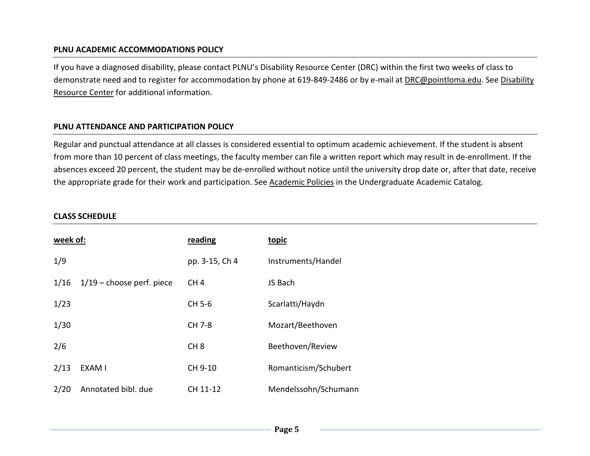### **PLNU ACADEMIC ACCOMMODATIONS POLICY**

If you have a diagnosed disability, please contact PLNU's Disability Resource Center (DRC) within the first two weeks of class to demonstrate need and to register for accommodation by phone at 619-849-2486 or by e-mail at [DRC@pointloma.edu.](mailto:DRC@pointloma.edu) See [Disability](http://www.pointloma.edu/experience/offices/administrative-offices/academic-advising-office/disability-resource-center)  [Resource Center](http://www.pointloma.edu/experience/offices/administrative-offices/academic-advising-office/disability-resource-center) for additional information.

### **PLNU ATTENDANCE AND PARTICIPATION POLICY**

Regular and punctual attendance at all classes is considered essential to optimum academic achievement. If the student is absent from more than 10 percent of class meetings, the faculty member can file a written report which may result in de-enrollment. If the absences exceed 20 percent, the student may be de-enrolled without notice until the university drop date or, after that date, receive the appropriate grade for their work and participation. See [Academic Policies](http://catalog.pointloma.edu/content.php?catoid=18&navoid=1278) in the Undergraduate Academic Catalog.

#### **CLASS SCHEDULE**

| week of: |                             | reading         | topic                |
|----------|-----------------------------|-----------------|----------------------|
| 1/9      |                             | pp. 3-15, Ch 4  | Instruments/Handel   |
| 1/16     | $1/19$ – choose perf. piece | CH <sub>4</sub> | JS Bach              |
| 1/23     |                             | CH 5-6          | Scarlatti/Haydn      |
| 1/30     |                             | CH 7-8          | Mozart/Beethoven     |
| 2/6      |                             | CH <sub>8</sub> | Beethoven/Review     |
| 2/13     | EXAM I                      | CH 9-10         | Romanticism/Schubert |
| 2/20     | Annotated bibl. due         | CH 11-12        | Mendelssohn/Schumann |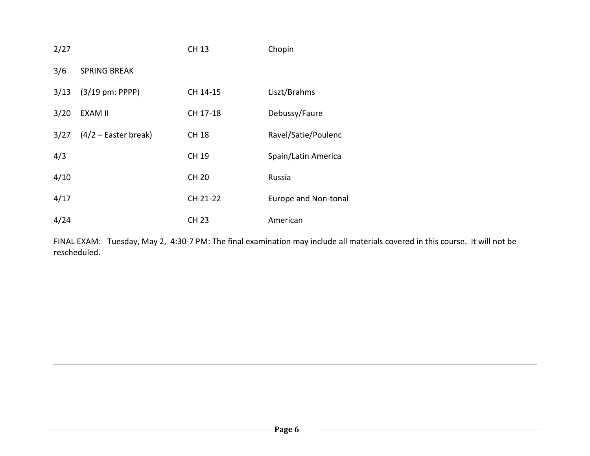| 2/27 |                        | <b>CH 13</b> | Chopin               |
|------|------------------------|--------------|----------------------|
| 3/6  | <b>SPRING BREAK</b>    |              |                      |
| 3/13 | $(3/19$ pm: PPPP)      | CH 14-15     | Liszt/Brahms         |
| 3/20 | <b>EXAM II</b>         | CH 17-18     | Debussy/Faure        |
| 3/27 | $(4/2 -$ Easter break) | <b>CH 18</b> | Ravel/Satie/Poulenc  |
| 4/3  |                        | CH 19        | Spain/Latin America  |
| 4/10 |                        | <b>CH 20</b> | Russia               |
| 4/17 |                        | CH 21-22     | Europe and Non-tonal |
| 4/24 |                        | <b>CH 23</b> | American             |

FINAL EXAM: Tuesday, May 2, 4:30-7 PM: The final examination may include all materials covered in this course. It will not be rescheduled.